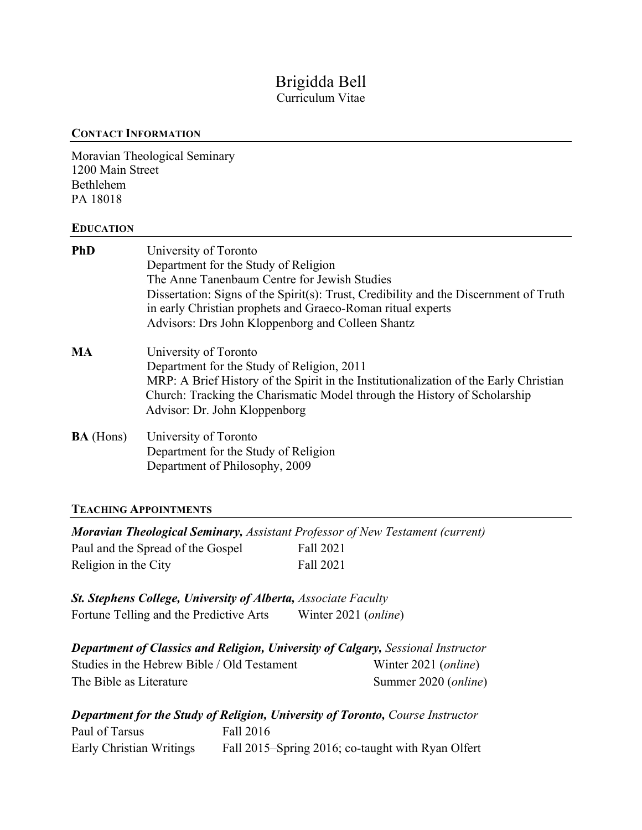# Brigidda Bell Curriculum Vitae

### **CONTACT INFORMATION**

Moravian Theological Seminary 1200 Main Street Bethlehem PA 18018

## **EDUCATION**

| <b>PhD</b>       | University of Toronto<br>Department for the Study of Religion<br>The Anne Tanenbaum Centre for Jewish Studies<br>Dissertation: Signs of the Spirit(s): Trust, Credibility and the Discernment of Truth<br>in early Christian prophets and Graeco-Roman ritual experts<br>Advisors: Drs John Kloppenborg and Colleen Shantz |
|------------------|----------------------------------------------------------------------------------------------------------------------------------------------------------------------------------------------------------------------------------------------------------------------------------------------------------------------------|
| <b>MA</b>        | University of Toronto<br>Department for the Study of Religion, 2011<br>MRP: A Brief History of the Spirit in the Institutionalization of the Early Christian<br>Church: Tracking the Charismatic Model through the History of Scholarship<br>Advisor: Dr. John Kloppenborg                                                 |
| <b>BA</b> (Hons) | University of Toronto<br>Department for the Study of Religion<br>Department of Philosophy, 2009                                                                                                                                                                                                                            |

# **TEACHING APPOINTMENTS**

| <b>Moravian Theological Seminary, Assistant Professor of New Testament (current)</b> |           |
|--------------------------------------------------------------------------------------|-----------|
| Paul and the Spread of the Gospel                                                    | Fall 2021 |
| Religion in the City                                                                 | Fall 2021 |

| <b>St. Stephens College, University of Alberta, Associate Faculty</b> |                               |
|-----------------------------------------------------------------------|-------------------------------|
| Fortune Telling and the Predictive Arts                               | Winter 2021 ( <i>online</i> ) |

| <b>Department of Classics and Religion, University of Calgary, Sessional Instructor</b> |                               |  |
|-----------------------------------------------------------------------------------------|-------------------------------|--|
| Studies in the Hebrew Bible / Old Testament                                             | Winter 2021 ( <i>online</i> ) |  |
| The Bible as Literature                                                                 | Summer 2020 ( <i>online</i> ) |  |

|                          | <b>Department for the Study of Religion, University of Toronto, Course Instructor</b> |
|--------------------------|---------------------------------------------------------------------------------------|
| Paul of Tarsus           | Fall 2016                                                                             |
| Early Christian Writings | Fall 2015–Spring 2016; co-taught with Ryan Olfert                                     |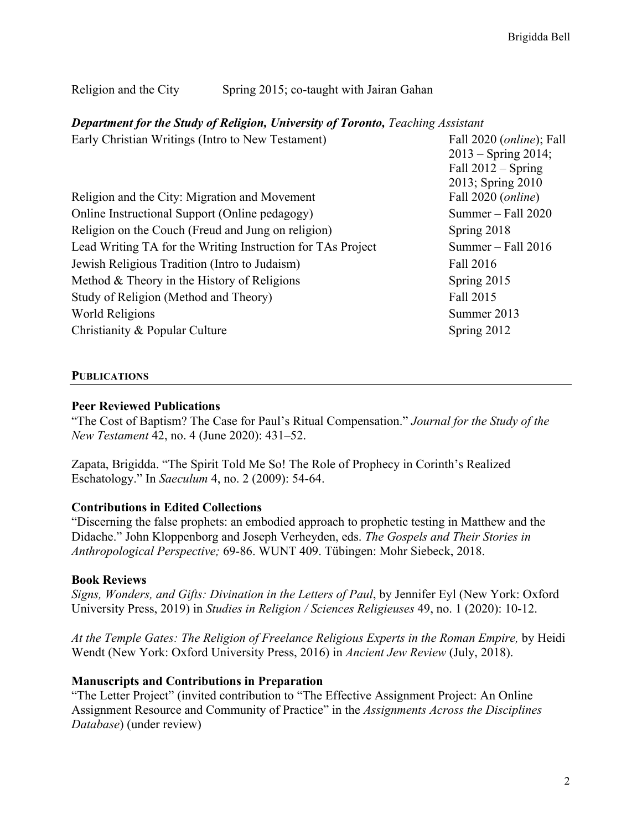### Religion and the City Spring 2015; co-taught with Jairan Gahan

#### *Department for the Study of Religion, University of Toronto, Teaching Assistant*

| Early Christian Writings (Intro to New Testament)           | Fall 2020 (online); Fall |
|-------------------------------------------------------------|--------------------------|
|                                                             | $2013 -$ Spring 2014;    |
|                                                             | Fall $2012 -$ Spring     |
|                                                             | 2013; Spring 2010        |
| Religion and the City: Migration and Movement               | Fall 2020 (online)       |
| Online Instructional Support (Online pedagogy)              | Summer - Fall 2020       |
| Religion on the Couch (Freud and Jung on religion)          | Spring 2018              |
| Lead Writing TA for the Writing Instruction for TAs Project | Summer $-$ Fall 2016     |
| Jewish Religious Tradition (Intro to Judaism)               | Fall 2016                |
| Method $&$ Theory in the History of Religions               | Spring 2015              |
| Study of Religion (Method and Theory)                       | Fall 2015                |
| World Religions                                             | Summer 2013              |
| Christianity & Popular Culture                              | Spring 2012              |
|                                                             |                          |

#### **PUBLICATIONS**

#### **Peer Reviewed Publications**

"The Cost of Baptism? The Case for Paul's Ritual Compensation." *Journal for the Study of the New Testament* 42, no. 4 (June 2020): 431–52.

Zapata, Brigidda. "The Spirit Told Me So! The Role of Prophecy in Corinth's Realized Eschatology." In *Saeculum* 4, no. 2 (2009): 54-64.

#### **Contributions in Edited Collections**

"Discerning the false prophets: an embodied approach to prophetic testing in Matthew and the Didache." John Kloppenborg and Joseph Verheyden, eds. *The Gospels and Their Stories in Anthropological Perspective;* 69-86. WUNT 409. Tübingen: Mohr Siebeck, 2018.

#### **Book Reviews**

*Signs, Wonders, and Gifts: Divination in the Letters of Paul*, by Jennifer Eyl (New York: Oxford University Press, 2019) in *Studies in Religion / Sciences Religieuses* 49, no. 1 (2020): 10-12.

*At the Temple Gates: The Religion of Freelance Religious Experts in the Roman Empire,* by Heidi Wendt (New York: Oxford University Press, 2016) in *Ancient Jew Review* (July, 2018).

#### **Manuscripts and Contributions in Preparation**

"The Letter Project" (invited contribution to "The Effective Assignment Project: An Online Assignment Resource and Community of Practice" in the *Assignments Across the Disciplines Database*) (under review)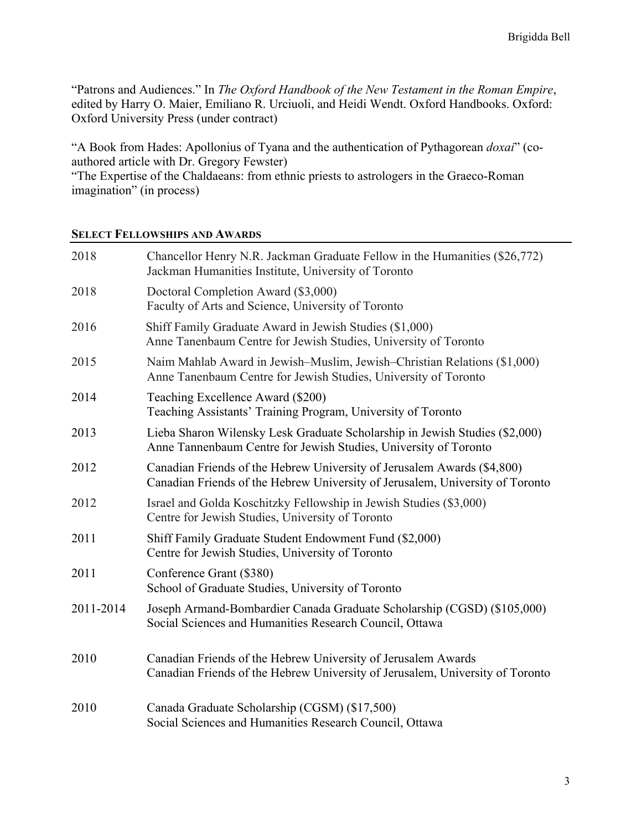"Patrons and Audiences." In *The Oxford Handbook of the New Testament in the Roman Empire*, edited by Harry O. Maier, Emiliano R. Urciuoli, and Heidi Wendt. Oxford Handbooks. Oxford: Oxford University Press (under contract)

"A Book from Hades: Apollonius of Tyana and the authentication of Pythagorean *doxai*" (coauthored article with Dr. Gregory Fewster)

"The Expertise of the Chaldaeans: from ethnic priests to astrologers in the Graeco-Roman imagination" (in process)

#### **SELECT FELLOWSHIPS AND AWARDS**

| 2018      | Chancellor Henry N.R. Jackman Graduate Fellow in the Humanities (\$26,772)<br>Jackman Humanities Institute, University of Toronto                        |
|-----------|----------------------------------------------------------------------------------------------------------------------------------------------------------|
| 2018      | Doctoral Completion Award (\$3,000)<br>Faculty of Arts and Science, University of Toronto                                                                |
| 2016      | Shiff Family Graduate Award in Jewish Studies (\$1,000)<br>Anne Tanenbaum Centre for Jewish Studies, University of Toronto                               |
| 2015      | Naim Mahlab Award in Jewish–Muslim, Jewish–Christian Relations (\$1,000)<br>Anne Tanenbaum Centre for Jewish Studies, University of Toronto              |
| 2014      | Teaching Excellence Award (\$200)<br>Teaching Assistants' Training Program, University of Toronto                                                        |
| 2013      | Lieba Sharon Wilensky Lesk Graduate Scholarship in Jewish Studies (\$2,000)<br>Anne Tannenbaum Centre for Jewish Studies, University of Toronto          |
| 2012      | Canadian Friends of the Hebrew University of Jerusalem Awards (\$4,800)<br>Canadian Friends of the Hebrew University of Jerusalem, University of Toronto |
| 2012      | Israel and Golda Koschitzky Fellowship in Jewish Studies (\$3,000)<br>Centre for Jewish Studies, University of Toronto                                   |
| 2011      | Shiff Family Graduate Student Endowment Fund (\$2,000)<br>Centre for Jewish Studies, University of Toronto                                               |
| 2011      | Conference Grant (\$380)<br>School of Graduate Studies, University of Toronto                                                                            |
| 2011-2014 | Joseph Armand-Bombardier Canada Graduate Scholarship (CGSD) (\$105,000)<br>Social Sciences and Humanities Research Council, Ottawa                       |
| 2010      | Canadian Friends of the Hebrew University of Jerusalem Awards<br>Canadian Friends of the Hebrew University of Jerusalem, University of Toronto           |
| 2010      | Canada Graduate Scholarship (CGSM) (\$17,500)<br>Social Sciences and Humanities Research Council, Ottawa                                                 |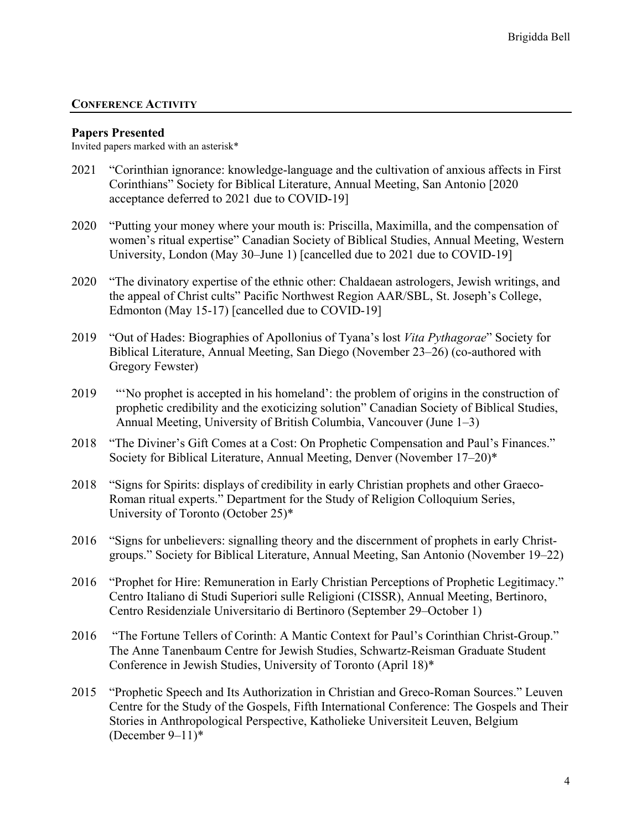#### **CONFERENCE ACTIVITY**

#### **Papers Presented**

Invited papers marked with an asterisk\*

- 2021 "Corinthian ignorance: knowledge-language and the cultivation of anxious affects in First Corinthians" Society for Biblical Literature, Annual Meeting, San Antonio [2020 acceptance deferred to 2021 due to COVID-19]
- 2020 "Putting your money where your mouth is: Priscilla, Maximilla, and the compensation of women's ritual expertise" Canadian Society of Biblical Studies, Annual Meeting, Western University, London (May 30–June 1) [cancelled due to 2021 due to COVID-19]
- 2020 "The divinatory expertise of the ethnic other: Chaldaean astrologers, Jewish writings, and the appeal of Christ cults" Pacific Northwest Region AAR/SBL, St. Joseph's College, Edmonton (May 15-17) [cancelled due to COVID-19]
- 2019 "Out of Hades: Biographies of Apollonius of Tyana's lost *Vita Pythagorae*" Society for Biblical Literature, Annual Meeting, San Diego (November 23–26) (co-authored with Gregory Fewster)
- 2019 "'No prophet is accepted in his homeland': the problem of origins in the construction of prophetic credibility and the exoticizing solution" Canadian Society of Biblical Studies, Annual Meeting, University of British Columbia, Vancouver (June 1–3)
- 2018 "The Diviner's Gift Comes at a Cost: On Prophetic Compensation and Paul's Finances." Society for Biblical Literature, Annual Meeting, Denver (November 17–20)\*
- 2018 "Signs for Spirits: displays of credibility in early Christian prophets and other Graeco-Roman ritual experts." Department for the Study of Religion Colloquium Series, University of Toronto (October 25)\*
- 2016 "Signs for unbelievers: signalling theory and the discernment of prophets in early Christgroups." Society for Biblical Literature, Annual Meeting, San Antonio (November 19–22)
- 2016 "Prophet for Hire: Remuneration in Early Christian Perceptions of Prophetic Legitimacy." Centro Italiano di Studi Superiori sulle Religioni (CISSR), Annual Meeting, Bertinoro, Centro Residenziale Universitario di Bertinoro (September 29–October 1)
- 2016 "The Fortune Tellers of Corinth: A Mantic Context for Paul's Corinthian Christ-Group." The Anne Tanenbaum Centre for Jewish Studies, Schwartz-Reisman Graduate Student Conference in Jewish Studies, University of Toronto (April 18)\*
- 2015 "Prophetic Speech and Its Authorization in Christian and Greco-Roman Sources." Leuven Centre for the Study of the Gospels, Fifth International Conference: The Gospels and Their Stories in Anthropological Perspective, Katholieke Universiteit Leuven, Belgium (December  $9-11$ )\*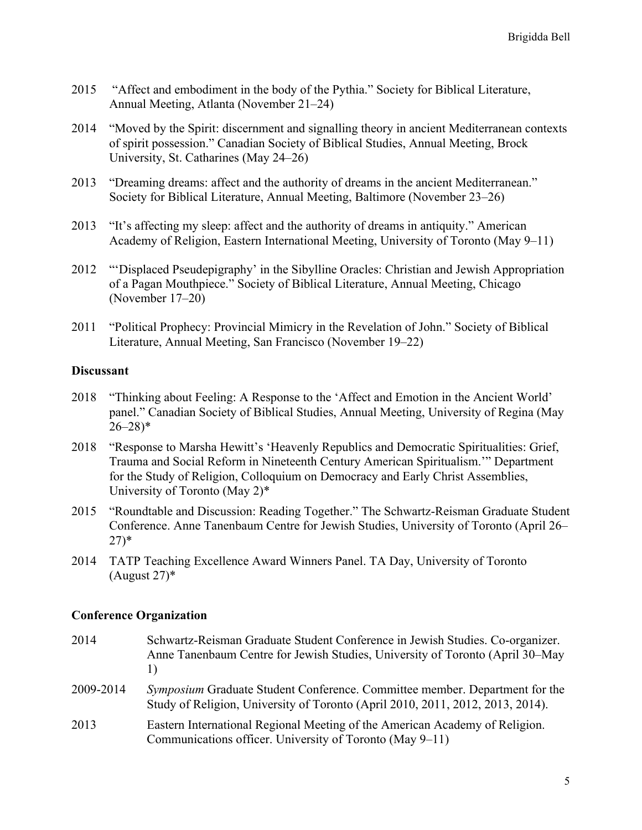- 2015 "Affect and embodiment in the body of the Pythia." Society for Biblical Literature, Annual Meeting, Atlanta (November 21–24)
- 2014 "Moved by the Spirit: discernment and signalling theory in ancient Mediterranean contexts of spirit possession." Canadian Society of Biblical Studies, Annual Meeting, Brock University, St. Catharines (May 24–26)
- 2013 "Dreaming dreams: affect and the authority of dreams in the ancient Mediterranean." Society for Biblical Literature, Annual Meeting, Baltimore (November 23–26)
- 2013 "It's affecting my sleep: affect and the authority of dreams in antiquity." American Academy of Religion, Eastern International Meeting, University of Toronto (May 9–11)
- 2012 "'Displaced Pseudepigraphy' in the Sibylline Oracles: Christian and Jewish Appropriation of a Pagan Mouthpiece." Society of Biblical Literature, Annual Meeting, Chicago (November 17–20)
- 2011 "Political Prophecy: Provincial Mimicry in the Revelation of John." Society of Biblical Literature, Annual Meeting, San Francisco (November 19–22)

### **Discussant**

- 2018 "Thinking about Feeling: A Response to the 'Affect and Emotion in the Ancient World' panel." Canadian Society of Biblical Studies, Annual Meeting, University of Regina (May  $26 - 28$ <sup>\*</sup>
- 2018 "Response to Marsha Hewitt's 'Heavenly Republics and Democratic Spiritualities: Grief, Trauma and Social Reform in Nineteenth Century American Spiritualism.'" Department for the Study of Religion, Colloquium on Democracy and Early Christ Assemblies, University of Toronto (May 2)\*
- 2015 "Roundtable and Discussion: Reading Together." The Schwartz-Reisman Graduate Student Conference. Anne Tanenbaum Centre for Jewish Studies, University of Toronto (April 26– 27)\*
- 2014 TATP Teaching Excellence Award Winners Panel. TA Day, University of Toronto  $(August 27)^*$

#### **Conference Organization**

| 2014      | Schwartz-Reisman Graduate Student Conference in Jewish Studies. Co-organizer.<br>Anne Tanenbaum Centre for Jewish Studies, University of Toronto (April 30–May<br>$\perp$ |
|-----------|---------------------------------------------------------------------------------------------------------------------------------------------------------------------------|
| 2009-2014 | <i>Symposium</i> Graduate Student Conference. Committee member. Department for the<br>Study of Religion, University of Toronto (April 2010, 2011, 2012, 2013, 2014).      |
| 2013      | Eastern International Regional Meeting of the American Academy of Religion.<br>Communications officer. University of Toronto (May 9–11)                                   |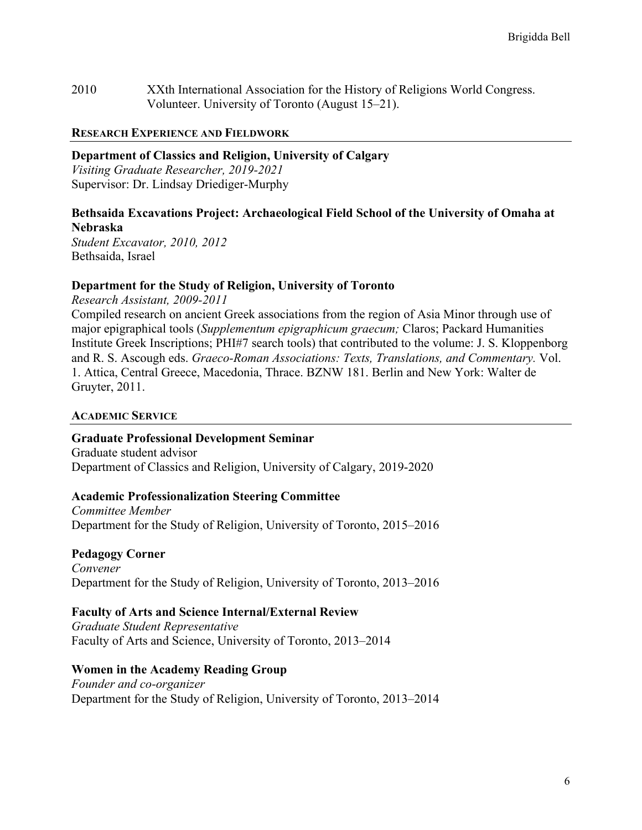2010 XXth International Association for the History of Religions World Congress. Volunteer. University of Toronto (August 15–21).

#### **RESEARCH EXPERIENCE AND FIELDWORK**

**Department of Classics and Religion, University of Calgary**

*Visiting Graduate Researcher, 2019-2021* Supervisor: Dr. Lindsay Driediger-Murphy

# **Bethsaida Excavations Project: Archaeological Field School of the University of Omaha at Nebraska**

*Student Excavator, 2010, 2012* Bethsaida, Israel

### **Department for the Study of Religion, University of Toronto**

*Research Assistant, 2009-2011* Compiled research on ancient Greek associations from the region of Asia Minor through use of major epigraphical tools (*Supplementum epigraphicum graecum;* Claros; Packard Humanities Institute Greek Inscriptions; PHI#7 search tools) that contributed to the volume: J. S. Kloppenborg and R. S. Ascough eds. *Graeco-Roman Associations: Texts, Translations, and Commentary.* Vol. 1. Attica, Central Greece, Macedonia, Thrace. BZNW 181. Berlin and New York: Walter de Gruyter, 2011.

#### **ACADEMIC SERVICE**

### **Graduate Professional Development Seminar**

Graduate student advisor Department of Classics and Religion, University of Calgary, 2019-2020

### **Academic Professionalization Steering Committee**

*Committee Member* Department for the Study of Religion, University of Toronto, 2015–2016

### **Pedagogy Corner**

*Convener* Department for the Study of Religion, University of Toronto, 2013–2016

### **Faculty of Arts and Science Internal/External Review**

*Graduate Student Representative* Faculty of Arts and Science, University of Toronto, 2013–2014

### **Women in the Academy Reading Group**

*Founder and co-organizer* Department for the Study of Religion, University of Toronto, 2013–2014